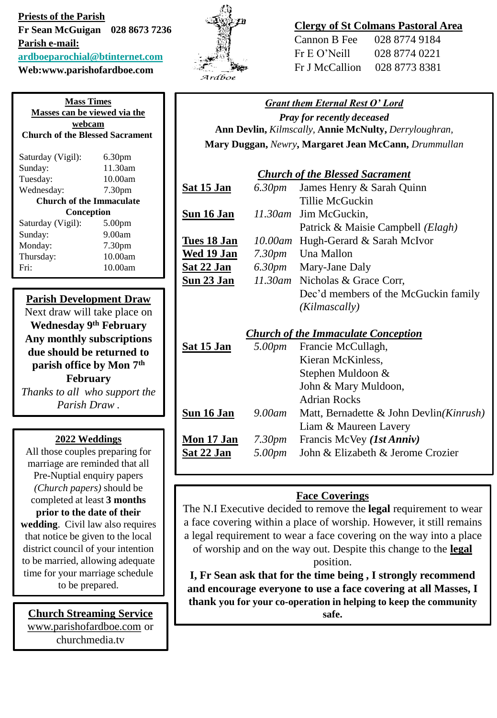**Priests of the Parish Fr Sean McGuigan 028 8673 7236 Parish e-mail: [ardboeparochial@btinternet.com](mailto:ardboeparochial@btinternet.com) Web:www.parishofardboe.com**

**Mass Times Masses can be viewed via the webcam Church of the Blessed Sacrament** Saturday (Vigil): 6.30pm Sunday: 11.30am Tuesday: 10.00am Wednesday: 7.30pm **Church of the Immaculate Conception** Saturday (Vigil): 5.00pm Sunday: 9.00am Monday: 7.30pm Thursday: 10.00am Fri: 10.00am

### **Parish Development Draw**

Next draw will take place on **Wednesday 9th February Any monthly subscriptions due should be returned to parish office by Mon 7th February** *Thanks to all who support the Parish Draw .*

#### **2022 Weddings**

All those couples preparing for marriage are reminded that all Pre-Nuptial enquiry papers *(Church papers)* should be completed at least **3 months prior to the date of their wedding**. Civil law also requires that notice be given to the local district council of your intention to be married, allowing adequate time for your marriage schedule to be prepared.

[www.parishofardboe.com](http://www.parishofardboe.com/) or churchmedia.tv



#### **Clergy of St Colmans Pastoral Area**

| Cannon B Fee   | 028 8774 9184 |
|----------------|---------------|
| Fr E O' Neill  | 028 8774 0221 |
| Fr J McCallion | 028 8773 8381 |

#### *Grant them Eternal Rest O' Lord Pray for recently deceased* **Ann Devlin,** *Kilmscally,* **Annie McNulty,** *Derryloughran,*  **Mary Duggan,** *Newry***, Margaret Jean McCann,** *Drummullan*

|                   | н <b>ату Duggan,</b> немту, н <b>ат датегосан виссанн</b> , Dr <i>ummunum</i> |
|-------------------|-------------------------------------------------------------------------------|
|                   | <b>Church of the Blessed Sacrament</b>                                        |
| Sat 15 Jan        | 6.30pm James Henry & Sarah Quinn                                              |
|                   | Tillie McGuckin                                                               |
| Sun 16 Jan        | 11.30am Jim McGuckin,                                                         |
|                   | Patrick & Maisie Campbell (Elagh)                                             |
| Tues 18 Jan       | 10.00am Hugh-Gerard & Sarah McIvor                                            |
| Wed 19 Jan        | 7.30pm Una Mallon                                                             |
| <u>Sat 22 Jan</u> | 6.30pm Mary-Jane Daly                                                         |
| <u>Sun 23 Jan</u> | 11.30am Nicholas & Grace Corr,                                                |
|                   | Dec'd members of the McGuckin family                                          |
|                   | (Kilmascally)                                                                 |
|                   | <b>Church of the Immaculate Conception</b>                                    |
| Sat 15 Jan        | 5.00pm Francie McCullagh,                                                     |
|                   | Kieran McKinless,                                                             |
|                   | Stephen Muldoon &                                                             |
|                   | John & Mary Muldoon,                                                          |
|                   | Adrian Rocks                                                                  |

#### Adrian Rocks **Sun 16 Jan** *9.00am* Matt, Bernadette & John Devlin*(Kinrush)* Liam & Maureen Lavery **Mon 17 Jan** *7.30pm* Francis McVey *(1st Anniv)* **Sat 22 Jan** *5.00pm* John & Elizabeth & Jerome Crozier

## **Face Coverings**

The N.I Executive decided to remove the **legal** requirement to wear a face covering within a place of worship. However, it still remains a legal requirement to wear a face covering on the way into a place of worship and on the way out. Despite this change to the **legal** position.

**I, Fr Sean ask that for the time being , I strongly recommend and encourage everyone to use a face covering at all Masses, I thank you for your co-operation in helping to keep the community Church Streaming Service Superior safe.** Safe.